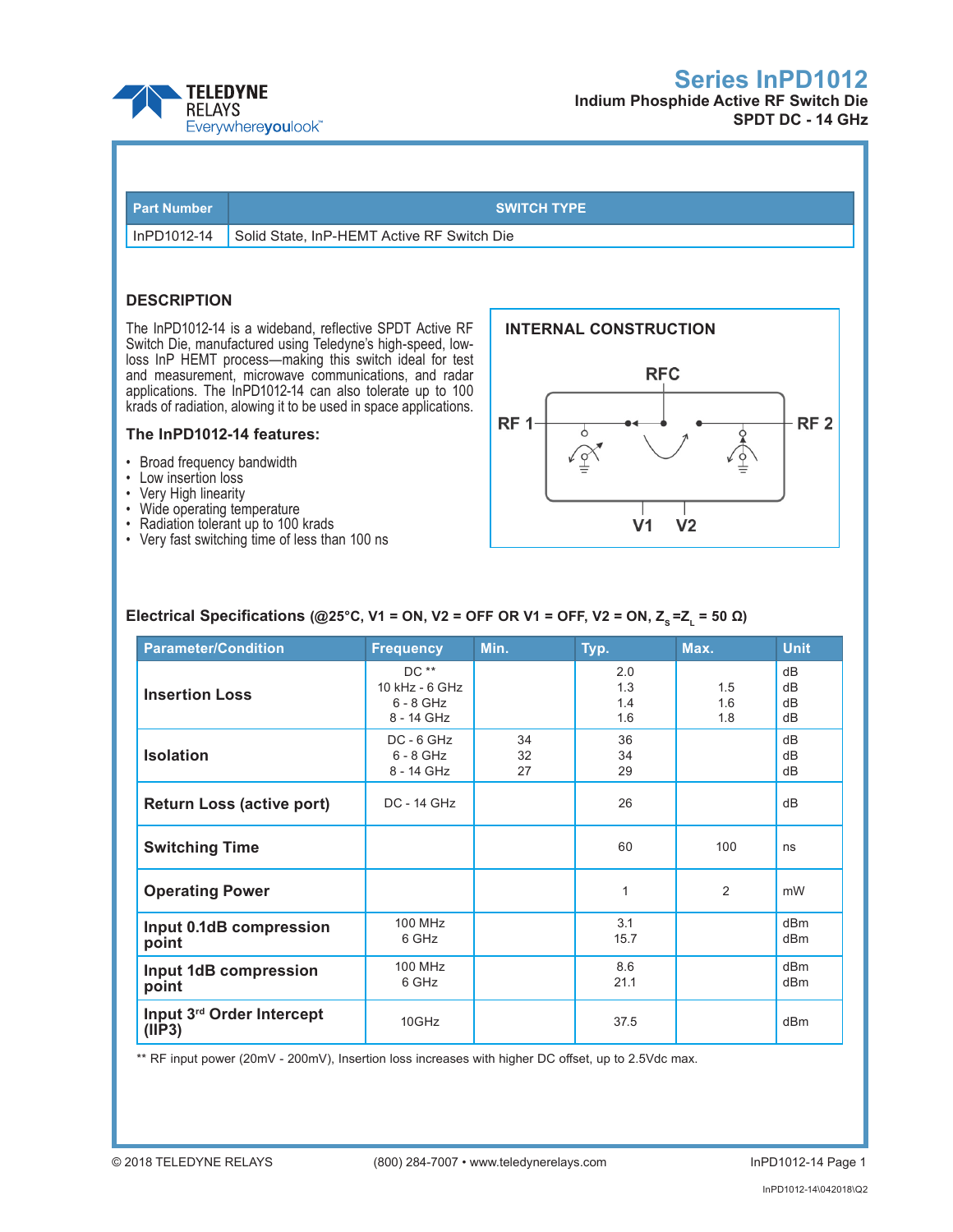



# **SPDT DC - 14 GHz**

| <b>Part Number</b> |                                                                                                                                                                                                                                                                                                        | <b>SWITCH TYPE</b>                         |  |  |  |
|--------------------|--------------------------------------------------------------------------------------------------------------------------------------------------------------------------------------------------------------------------------------------------------------------------------------------------------|--------------------------------------------|--|--|--|
| InPD1012-14        | Solid State, InP-HEMT Active RF Switch Die                                                                                                                                                                                                                                                             |                                            |  |  |  |
|                    |                                                                                                                                                                                                                                                                                                        |                                            |  |  |  |
| <b>DESCRIPTION</b> |                                                                                                                                                                                                                                                                                                        |                                            |  |  |  |
|                    | The InPD1012-14 is a wideband, reflective SPDT Active RF<br>Switch Die, manufactured using Teledyne's high-speed, low-<br>loss InP HEMT process—making this switch ideal for test<br>and measurement, microwave communications, and radar<br>applications. The InPD1012-14 can also tolerate up to 100 | <b>INTERNAL CONSTRUCTION</b><br><b>RFC</b> |  |  |  |
|                    | krads of radiation, alowing it to be used in space applications.                                                                                                                                                                                                                                       |                                            |  |  |  |

#### **The InPD1012-14 features:**

- • Broad frequency bandwidth
- • Low insertion loss
- • Very High linearity
- • Wide operating temperature
- • Radiation tolerant up to 100 krads
- • Very fast switching time of less than 100 ns



## **Electrical Specifications (@25°C, V1 = ON, V2 = OFF OR V1 = OFF, V2 = ON, Z<sub>s</sub> = Z<sub>L</sub> = 50 Ω)**

| <b>Parameter/Condition</b>           | <b>Frequency</b>                                     | Min.           | Typ.                     | Max.              | <b>Unit</b>                        |
|--------------------------------------|------------------------------------------------------|----------------|--------------------------|-------------------|------------------------------------|
| <b>Insertion Loss</b>                | DC **<br>10 kHz - 6 GHz<br>$6 - 8$ GHz<br>8 - 14 GHz |                | 2.0<br>1.3<br>1.4<br>1.6 | 1.5<br>1.6<br>1.8 | dB<br>dB<br>dB<br>dB               |
| <b>Isolation</b>                     | $DC - 6 GHz$<br>$6 - 8$ GHz<br>8 - 14 GHz            | 34<br>32<br>27 | 36<br>34<br>29           |                   | dB<br>dB<br>dB                     |
| <b>Return Loss (active port)</b>     | <b>DC - 14 GHz</b>                                   |                | 26                       |                   | dB                                 |
| <b>Switching Time</b>                |                                                      |                | 60                       | 100               | ns                                 |
| <b>Operating Power</b>               |                                                      |                | 1                        | 2                 | mW                                 |
| Input 0.1dB compression<br>point     | <b>100 MHz</b><br>6 GHz                              |                | 3.1<br>15.7              |                   | dB <sub>m</sub><br>dB <sub>m</sub> |
| Input 1dB compression<br>point       | <b>100 MHz</b><br>6 GHz                              |                | 8.6<br>21.1              |                   | dRm<br>d <sub>Bm</sub>             |
| Input 3rd Order Intercept<br>(IIIP3) | 10GHz                                                |                | 37.5                     |                   | d <sub>Bm</sub>                    |

\*\* RF input power (20mV - 200mV), Insertion loss increases with higher DC offset, up to 2.5Vdc max.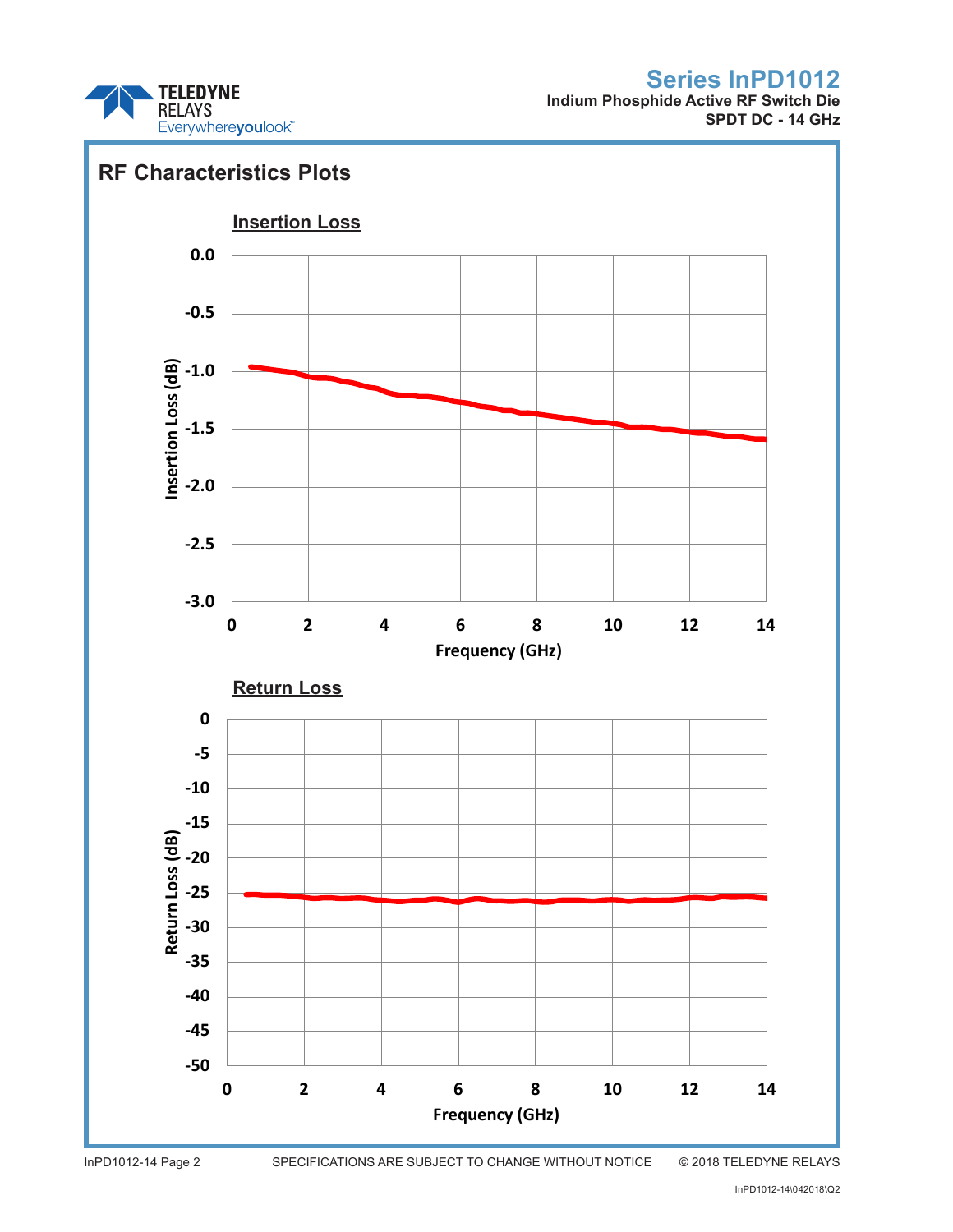

**Indium Phosphide Active RF Switch Die SPDT DC - 14 GHz**



InPD1012-14 Page 2 SPECIFICATIONS ARE SUBJECT TO CHANGE WITHOUT NOTICE © 2018 TELEDYNE RELAYS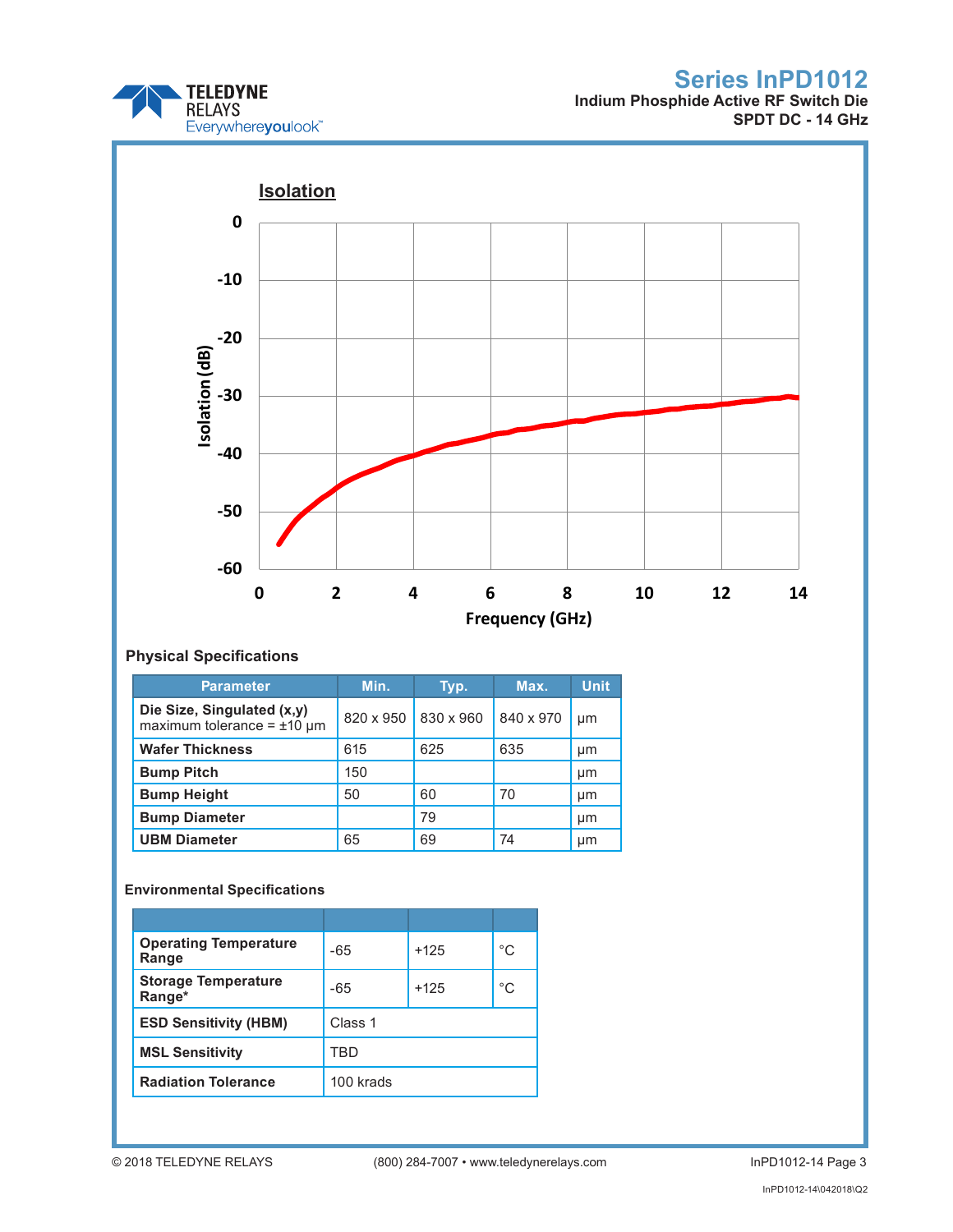

**Indium Phosphide Active RF Switch Die SPDT DC - 14 GHz**



## **Physical Specifications**

| <b>Parameter</b>                                                 | Min.      | Typ.      | Max.      | <b>Unit</b> |
|------------------------------------------------------------------|-----------|-----------|-----------|-------------|
| Die Size, Singulated (x,y)<br>maximum tolerance = $\pm 10 \mu$ m | 820 x 950 | 830 x 960 | 840 x 970 | µm          |
| <b>Wafer Thickness</b>                                           | 615       | 625       | 635       | μm          |
| <b>Bump Pitch</b>                                                | 150       |           |           | μm          |
| <b>Bump Height</b>                                               | 50        | 60        | 70        | µm          |
| <b>Bump Diameter</b>                                             |           | 79        |           | µm          |
| <b>UBM Diameter</b>                                              | 65        | 69        | 74        | µm          |

## **Environmental Specifications**

| <b>Operating Temperature</b><br>Range | $-65$     | $+125$ | $^{\circ}C$ |
|---------------------------------------|-----------|--------|-------------|
| <b>Storage Temperature</b><br>Range*  | -65       | $+125$ | °C          |
| <b>ESD Sensitivity (HBM)</b>          | Class 1   |        |             |
| <b>MSL Sensitivity</b>                | TRD       |        |             |
| <b>Radiation Tolerance</b>            | 100 krads |        |             |